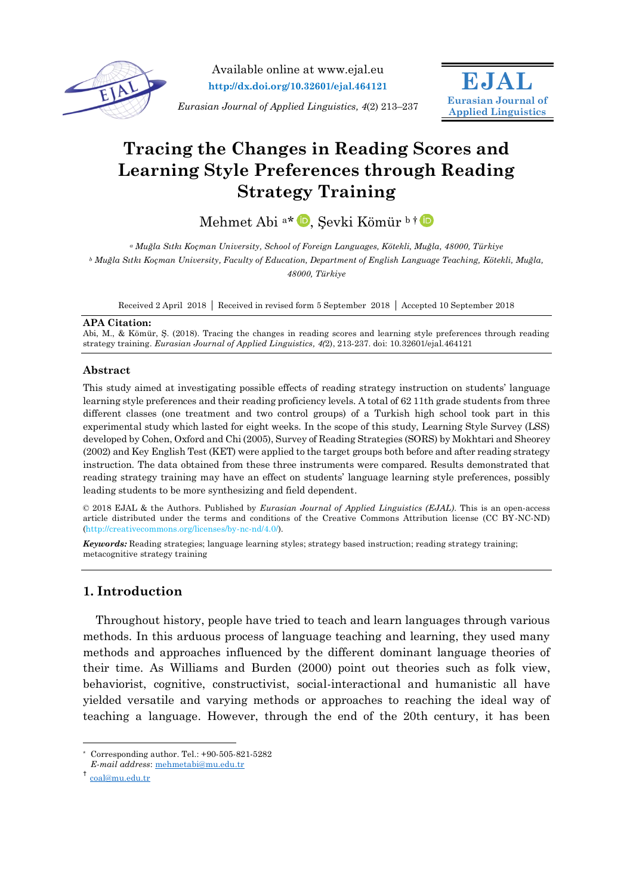

Available online at www.ejal.eu **http://dx.doi.org/10.32601/ejal.464121**

**EJAL Eurasian Journal of Applied Linguistics**

*Eurasian Journal of Applied Linguistics, 4*(2) 213–237

# **Tracing the Changes in Reading Scores and Learning Style Preferences through Reading Strategy Training**

Mehmet Abi<sup>a\*</sup> D[,](https://orcid.org/0000-0002-2421-333X) Şevki Kömür b † D

*<sup>a</sup> Muğla Sıtkı Koçman University, School of Foreign Languages, Kötekli, Muğla, 48000, Türkiye <sup>b</sup> Muğla Sıtkı Koçman University, Faculty of Education, Department of English Language Teaching, Kötekli, Muğla, 48000, Türkiye*

Received 2 April 2018 Received in revised form 5 September 2018 Accepted 10 September 2018

#### **APA Citation:**

Abi, M., & Kömür, Ş. (2018). Tracing the changes in reading scores and learning style preferences through reading strategy training. *Eurasian Journal of Applied Linguistics, 4(*2), 213-237. doi: 10.32601/ejal.464121

## **Abstract**

This study aimed at investigating possible effects of reading strategy instruction on students' language learning style preferences and their reading proficiency levels. A total of 62 11th grade students from three different classes (one treatment and two control groups) of a Turkish high school took part in this experimental study which lasted for eight weeks. In the scope of this study, Learning Style Survey (LSS) developed by Cohen, Oxford and Chi (2005), Survey of Reading Strategies (SORS) by Mokhtari and Sheorey (2002) and Key English Test (KET) were applied to the target groups both before and after reading strategy instruction. The data obtained from these three instruments were compared. Results demonstrated that reading strategy training may have an effect on students' language learning style preferences, possibly leading students to be more synthesizing and field dependent.

© 2018 EJAL & the Authors. Published by *Eurasian Journal of Applied Linguistics (EJAL)*. This is an open-access article distributed under the terms and conditions of the Creative Commons Attribution license (CC BY-NC-ND) (http://creativecommons.org/licenses/by-nc-nd/4.0/).

*Keywords:* Reading strategies; language learning styles; strategy based instruction; reading strategy training; metacognitive strategy training

## **1. Introduction**

Throughout history, people have tried to teach and learn languages through various methods. In this arduous process of language teaching and learning, they used many methods and approaches influenced by the different dominant language theories of their time. As Williams and Burden (2000) point out theories such as folk view, behaviorist, cognitive, constructivist, social-interactional and humanistic all have yielded versatile and varying methods or approaches to reaching the ideal way of teaching a language. However, through the end of the 20th century, it has been

 $\overline{a}$ \* Corresponding author. Tel.: +90-505-821-5282

*E-mail address*: [mehmetabi@mu.edu.tr](mailto:mehmetabi@mu.edu.tr)

<sup>†</sup> [coal@mu.edu.tr](mailto:coal@mu.edu.tr)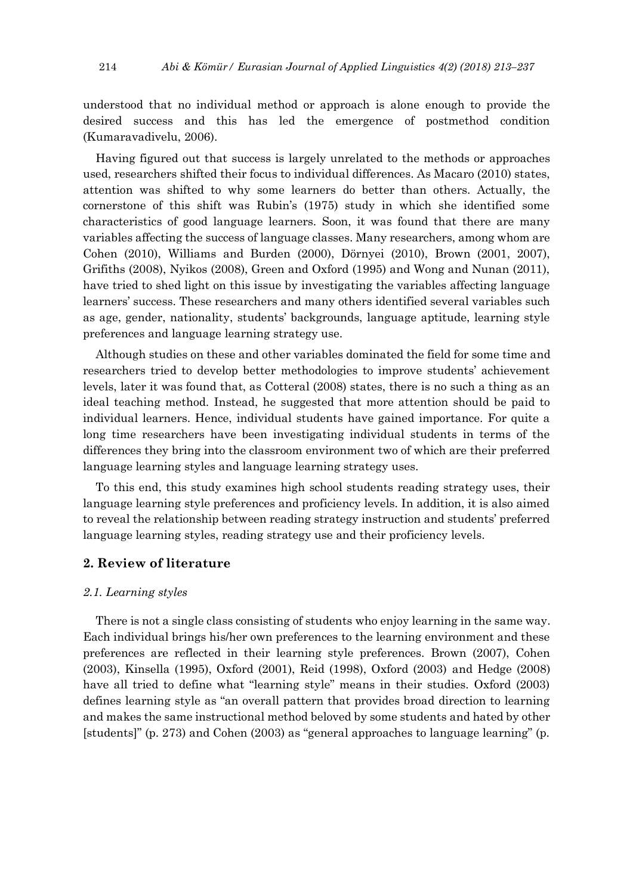understood that no individual method or approach is alone enough to provide the desired success and this has led the emergence of postmethod condition (Kumaravadivelu, 2006).

Having figured out that success is largely unrelated to the methods or approaches used, researchers shifted their focus to individual differences. As Macaro (2010) states, attention was shifted to why some learners do better than others. Actually, the cornerstone of this shift was Rubin's (1975) study in which she identified some characteristics of good language learners. Soon, it was found that there are many variables affecting the success of language classes. Many researchers, among whom are Cohen (2010), Williams and Burden (2000), Dörnyei (2010), Brown (2001, 2007), Grifiths (2008), Nyikos (2008), Green and Oxford (1995) and Wong and Nunan (2011), have tried to shed light on this issue by investigating the variables affecting language learners' success. These researchers and many others identified several variables such as age, gender, nationality, students' backgrounds, language aptitude, learning style preferences and language learning strategy use.

Although studies on these and other variables dominated the field for some time and researchers tried to develop better methodologies to improve students' achievement levels, later it was found that, as Cotteral (2008) states, there is no such a thing as an ideal teaching method. Instead, he suggested that more attention should be paid to individual learners. Hence, individual students have gained importance. For quite a long time researchers have been investigating individual students in terms of the differences they bring into the classroom environment two of which are their preferred language learning styles and language learning strategy uses.

To this end, this study examines high school students reading strategy uses, their language learning style preferences and proficiency levels. In addition, it is also aimed to reveal the relationship between reading strategy instruction and students' preferred language learning styles, reading strategy use and their proficiency levels.

## **2. Review of literature**

## *2.1. Learning styles*

There is not a single class consisting of students who enjoy learning in the same way. Each individual brings his/her own preferences to the learning environment and these preferences are reflected in their learning style preferences. Brown (2007), Cohen (2003), Kinsella (1995), Oxford (2001), Reid (1998), Oxford (2003) and Hedge (2008) have all tried to define what "learning style" means in their studies. Oxford (2003) defines learning style as "an overall pattern that provides broad direction to learning and makes the same instructional method beloved by some students and hated by other [students]" (p. 273) and Cohen (2003) as "general approaches to language learning" (p.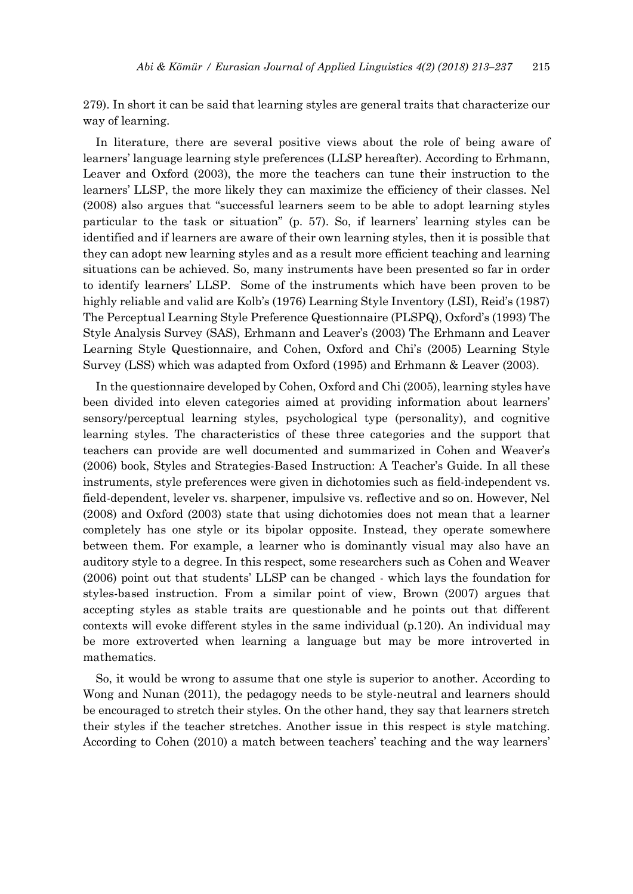279). In short it can be said that learning styles are general traits that characterize our way of learning.

In literature, there are several positive views about the role of being aware of learners' language learning style preferences (LLSP hereafter). According to Erhmann, Leaver and Oxford (2003), the more the teachers can tune their instruction to the learners' LLSP, the more likely they can maximize the efficiency of their classes. Nel (2008) also argues that "successful learners seem to be able to adopt learning styles particular to the task or situation" (p. 57). So, if learners' learning styles can be identified and if learners are aware of their own learning styles, then it is possible that they can adopt new learning styles and as a result more efficient teaching and learning situations can be achieved. So, many instruments have been presented so far in order to identify learners' LLSP. Some of the instruments which have been proven to be highly reliable and valid are Kolb's (1976) Learning Style Inventory (LSI), Reid's (1987) The Perceptual Learning Style Preference Questionnaire (PLSPQ), Oxford's (1993) The Style Analysis Survey (SAS), Erhmann and Leaver's (2003) The Erhmann and Leaver Learning Style Questionnaire, and Cohen, Oxford and Chi's (2005) Learning Style Survey (LSS) which was adapted from Oxford (1995) and Erhmann & Leaver (2003).

In the questionnaire developed by Cohen, Oxford and Chi (2005), learning styles have been divided into eleven categories aimed at providing information about learners' sensory/perceptual learning styles, psychological type (personality), and cognitive learning styles. The characteristics of these three categories and the support that teachers can provide are well documented and summarized in Cohen and Weaver's (2006) book, Styles and Strategies-Based Instruction: A Teacher's Guide. In all these instruments, style preferences were given in dichotomies such as field-independent vs. field-dependent, leveler vs. sharpener, impulsive vs. reflective and so on. However, Nel (2008) and Oxford (2003) state that using dichotomies does not mean that a learner completely has one style or its bipolar opposite. Instead, they operate somewhere between them. For example, a learner who is dominantly visual may also have an auditory style to a degree. In this respect, some researchers such as Cohen and Weaver (2006) point out that students' LLSP can be changed - which lays the foundation for styles-based instruction. From a similar point of view, Brown (2007) argues that accepting styles as stable traits are questionable and he points out that different contexts will evoke different styles in the same individual (p.120). An individual may be more extroverted when learning a language but may be more introverted in mathematics.

So, it would be wrong to assume that one style is superior to another. According to Wong and Nunan (2011), the pedagogy needs to be style-neutral and learners should be encouraged to stretch their styles. On the other hand, they say that learners stretch their styles if the teacher stretches. Another issue in this respect is style matching. According to Cohen (2010) a match between teachers' teaching and the way learners'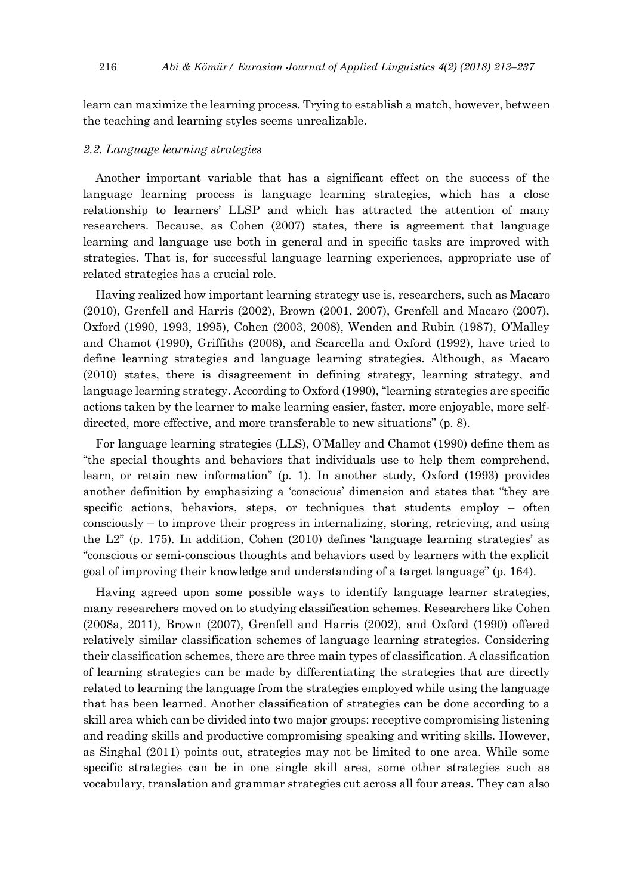learn can maximize the learning process. Trying to establish a match, however, between the teaching and learning styles seems unrealizable.

## *2.2. Language learning strategies*

Another important variable that has a significant effect on the success of the language learning process is language learning strategies, which has a close relationship to learners' LLSP and which has attracted the attention of many researchers. Because, as Cohen (2007) states, there is agreement that language learning and language use both in general and in specific tasks are improved with strategies. That is, for successful language learning experiences, appropriate use of related strategies has a crucial role.

Having realized how important learning strategy use is, researchers, such as Macaro (2010), Grenfell and Harris (2002), Brown (2001, 2007), Grenfell and Macaro (2007), Oxford (1990, 1993, 1995), Cohen (2003, 2008), Wenden and Rubin (1987), O'Malley and Chamot (1990), Griffiths (2008), and Scarcella and Oxford (1992), have tried to define learning strategies and language learning strategies. Although, as Macaro (2010) states, there is disagreement in defining strategy, learning strategy, and language learning strategy. According to Oxford (1990), "learning strategies are specific actions taken by the learner to make learning easier, faster, more enjoyable, more selfdirected, more effective, and more transferable to new situations" (p. 8).

For language learning strategies (LLS), O'Malley and Chamot (1990) define them as "the special thoughts and behaviors that individuals use to help them comprehend, learn, or retain new information" (p. 1). In another study, Oxford (1993) provides another definition by emphasizing a 'conscious' dimension and states that "they are specific actions, behaviors, steps, or techniques that students employ – often consciously – to improve their progress in internalizing, storing, retrieving, and using the L2" (p. 175). In addition, Cohen (2010) defines 'language learning strategies' as "conscious or semi-conscious thoughts and behaviors used by learners with the explicit goal of improving their knowledge and understanding of a target language" (p. 164).

Having agreed upon some possible ways to identify language learner strategies, many researchers moved on to studying classification schemes. Researchers like Cohen (2008a, 2011), Brown (2007), Grenfell and Harris (2002), and Oxford (1990) offered relatively similar classification schemes of language learning strategies. Considering their classification schemes, there are three main types of classification. A classification of learning strategies can be made by differentiating the strategies that are directly related to learning the language from the strategies employed while using the language that has been learned. Another classification of strategies can be done according to a skill area which can be divided into two major groups: receptive compromising listening and reading skills and productive compromising speaking and writing skills. However, as Singhal (2011) points out, strategies may not be limited to one area. While some specific strategies can be in one single skill area, some other strategies such as vocabulary, translation and grammar strategies cut across all four areas. They can also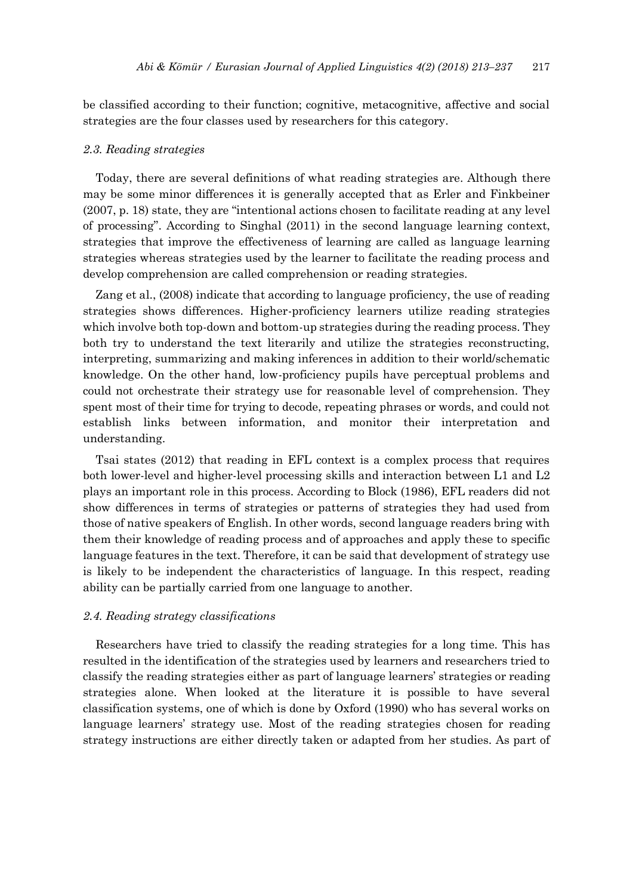be classified according to their function; cognitive, metacognitive, affective and social strategies are the four classes used by researchers for this category.

## *2.3. Reading strategies*

Today, there are several definitions of what reading strategies are. Although there may be some minor differences it is generally accepted that as Erler and Finkbeiner (2007, p. 18) state, they are "intentional actions chosen to facilitate reading at any level of processing". According to Singhal (2011) in the second language learning context, strategies that improve the effectiveness of learning are called as language learning strategies whereas strategies used by the learner to facilitate the reading process and develop comprehension are called comprehension or reading strategies.

Zang et al., (2008) indicate that according to language proficiency, the use of reading strategies shows differences. Higher-proficiency learners utilize reading strategies which involve both top-down and bottom-up strategies during the reading process. They both try to understand the text literarily and utilize the strategies reconstructing, interpreting, summarizing and making inferences in addition to their world/schematic knowledge. On the other hand, low-proficiency pupils have perceptual problems and could not orchestrate their strategy use for reasonable level of comprehension. They spent most of their time for trying to decode, repeating phrases or words, and could not establish links between information, and monitor their interpretation and understanding.

Tsai states (2012) that reading in EFL context is a complex process that requires both lower-level and higher-level processing skills and interaction between L1 and L2 plays an important role in this process. According to Block (1986), EFL readers did not show differences in terms of strategies or patterns of strategies they had used from those of native speakers of English. In other words, second language readers bring with them their knowledge of reading process and of approaches and apply these to specific language features in the text. Therefore, it can be said that development of strategy use is likely to be independent the characteristics of language. In this respect, reading ability can be partially carried from one language to another.

#### *2.4. Reading strategy classifications*

Researchers have tried to classify the reading strategies for a long time. This has resulted in the identification of the strategies used by learners and researchers tried to classify the reading strategies either as part of language learners' strategies or reading strategies alone. When looked at the literature it is possible to have several classification systems, one of which is done by Oxford (1990) who has several works on language learners' strategy use. Most of the reading strategies chosen for reading strategy instructions are either directly taken or adapted from her studies. As part of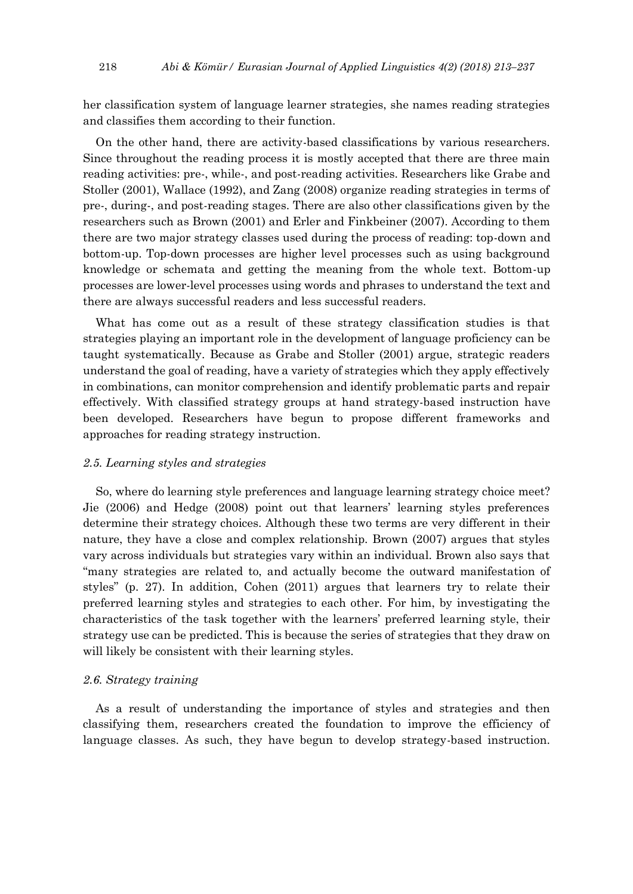her classification system of language learner strategies, she names reading strategies and classifies them according to their function.

On the other hand, there are activity-based classifications by various researchers. Since throughout the reading process it is mostly accepted that there are three main reading activities: pre-, while-, and post-reading activities. Researchers like Grabe and Stoller (2001), Wallace (1992), and Zang (2008) organize reading strategies in terms of pre-, during-, and post-reading stages. There are also other classifications given by the researchers such as Brown (2001) and Erler and Finkbeiner (2007). According to them there are two major strategy classes used during the process of reading: top-down and bottom-up. Top-down processes are higher level processes such as using background knowledge or schemata and getting the meaning from the whole text. Bottom-up processes are lower-level processes using words and phrases to understand the text and there are always successful readers and less successful readers.

What has come out as a result of these strategy classification studies is that strategies playing an important role in the development of language proficiency can be taught systematically. Because as Grabe and Stoller (2001) argue, strategic readers understand the goal of reading, have a variety of strategies which they apply effectively in combinations, can monitor comprehension and identify problematic parts and repair effectively. With classified strategy groups at hand strategy-based instruction have been developed. Researchers have begun to propose different frameworks and approaches for reading strategy instruction.

## *2.5. Learning styles and strategies*

So, where do learning style preferences and language learning strategy choice meet? Jie (2006) and Hedge (2008) point out that learners' learning styles preferences determine their strategy choices. Although these two terms are very different in their nature, they have a close and complex relationship. Brown (2007) argues that styles vary across individuals but strategies vary within an individual. Brown also says that "many strategies are related to, and actually become the outward manifestation of styles" (p. 27). In addition, Cohen (2011) argues that learners try to relate their preferred learning styles and strategies to each other. For him, by investigating the characteristics of the task together with the learners' preferred learning style, their strategy use can be predicted. This is because the series of strategies that they draw on will likely be consistent with their learning styles.

## *2.6. Strategy training*

As a result of understanding the importance of styles and strategies and then classifying them, researchers created the foundation to improve the efficiency of language classes. As such, they have begun to develop strategy-based instruction.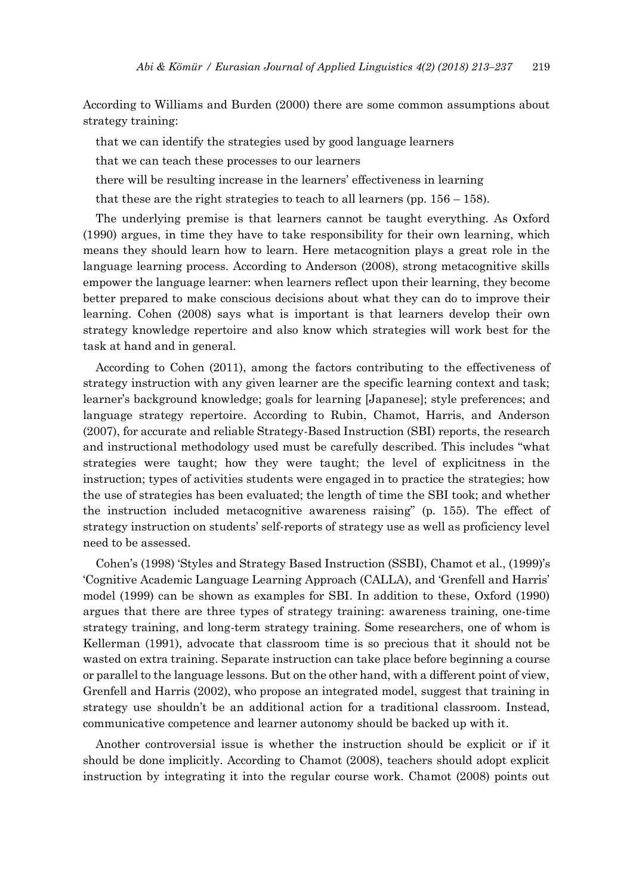According to Williams and Burden (2000) there are some common assumptions about strategy training:

that we can identify the strategies used by good language learners

that we can teach these processes to our learners

there will be resulting increase in the learners' effectiveness in learning

that these are the right strategies to teach to all learners (pp.  $156 - 158$ ).

The underlying premise is that learners cannot be taught everything. As Oxford (1990) argues, in time they have to take responsibility for their own learning, which means they should learn how to learn. Here metacognition plays a great role in the language learning process. According to Anderson (2008), strong metacognitive skills empower the language learner: when learners reflect upon their learning, they become better prepared to make conscious decisions about what they can do to improve their learning. Cohen (2008) says what is important is that learners develop their own strategy knowledge repertoire and also know which strategies will work best for the task at hand and in general.

According to Cohen (2011), among the factors contributing to the effectiveness of strategy instruction with any given learner are the specific learning context and task; learner's background knowledge; goals for learning [Japanese]; style preferences; and language strategy repertoire. According to Rubin, Chamot, Harris, and Anderson (2007), for accurate and reliable Strategy-Based Instruction (SBI) reports, the research and instructional methodology used must be carefully described. This includes "what strategies were taught; how they were taught; the level of explicitness in the instruction; types of activities students were engaged in to practice the strategies; how the use of strategies has been evaluated; the length of time the SBI took; and whether the instruction included metacognitive awareness raising" (p. 155). The effect of strategy instruction on students' self-reports of strategy use as well as proficiency level need to be assessed.

Cohen's (1998) 'Styles and Strategy Based Instruction (SSBI), Chamot et al., (1999)'s 'Cognitive Academic Language Learning Approach (CALLA), and 'Grenfell and Harris' model (1999) can be shown as examples for SBI. In addition to these, Oxford (1990) argues that there are three types of strategy training: awareness training, one-time strategy training, and long-term strategy training. Some researchers, one of whom is Kellerman (1991), advocate that classroom time is so precious that it should not be wasted on extra training. Separate instruction can take place before beginning a course or parallel to the language lessons. But on the other hand, with a different point of view, Grenfell and Harris (2002), who propose an integrated model, suggest that training in strategy use shouldn't be an additional action for a traditional classroom. Instead, communicative competence and learner autonomy should be backed up with it.

Another controversial issue is whether the instruction should be explicit or if it should be done implicitly. According to Chamot (2008), teachers should adopt explicit instruction by integrating it into the regular course work. Chamot (2008) points out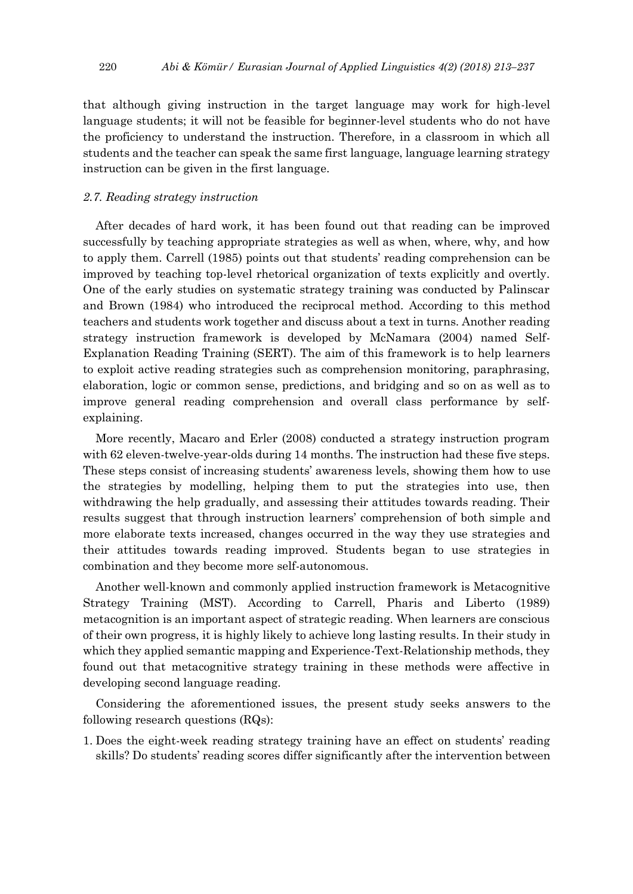that although giving instruction in the target language may work for high-level language students; it will not be feasible for beginner-level students who do not have the proficiency to understand the instruction. Therefore, in a classroom in which all students and the teacher can speak the same first language, language learning strategy instruction can be given in the first language.

## *2.7. Reading strategy instruction*

After decades of hard work, it has been found out that reading can be improved successfully by teaching appropriate strategies as well as when, where, why, and how to apply them. Carrell (1985) points out that students' reading comprehension can be improved by teaching top-level rhetorical organization of texts explicitly and overtly. One of the early studies on systematic strategy training was conducted by Palinscar and Brown (1984) who introduced the reciprocal method. According to this method teachers and students work together and discuss about a text in turns. Another reading strategy instruction framework is developed by McNamara (2004) named Self-Explanation Reading Training (SERT). The aim of this framework is to help learners to exploit active reading strategies such as comprehension monitoring, paraphrasing, elaboration, logic or common sense, predictions, and bridging and so on as well as to improve general reading comprehension and overall class performance by selfexplaining.

More recently, Macaro and Erler (2008) conducted a strategy instruction program with 62 eleven-twelve-year-olds during 14 months. The instruction had these five steps. These steps consist of increasing students' awareness levels, showing them how to use the strategies by modelling, helping them to put the strategies into use, then withdrawing the help gradually, and assessing their attitudes towards reading. Their results suggest that through instruction learners' comprehension of both simple and more elaborate texts increased, changes occurred in the way they use strategies and their attitudes towards reading improved. Students began to use strategies in combination and they become more self-autonomous.

Another well-known and commonly applied instruction framework is Metacognitive Strategy Training (MST). According to Carrell, Pharis and Liberto (1989) metacognition is an important aspect of strategic reading. When learners are conscious of their own progress, it is highly likely to achieve long lasting results. In their study in which they applied semantic mapping and Experience-Text-Relationship methods, they found out that metacognitive strategy training in these methods were affective in developing second language reading.

Considering the aforementioned issues, the present study seeks answers to the following research questions (RQs):

1. Does the eight-week reading strategy training have an effect on students' reading skills? Do students' reading scores differ significantly after the intervention between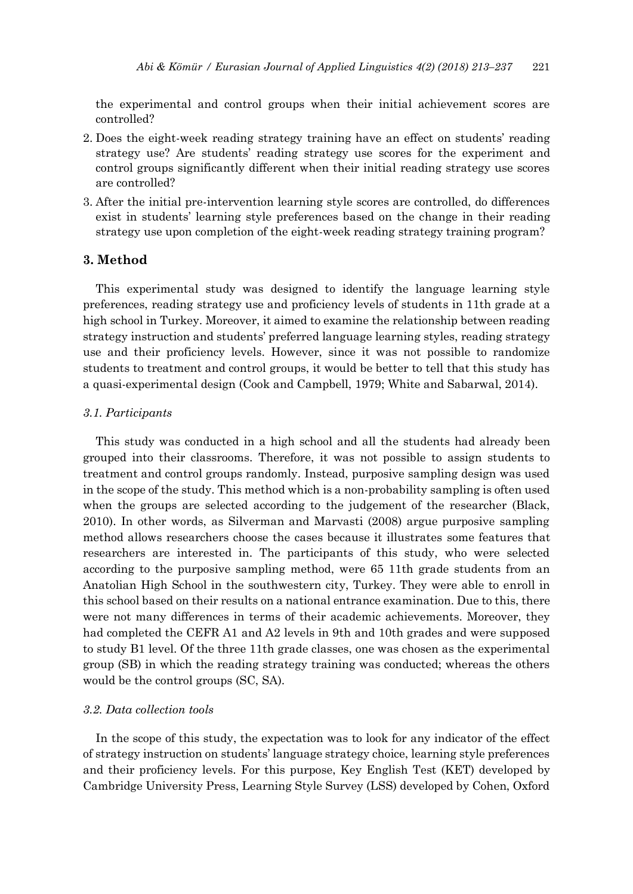the experimental and control groups when their initial achievement scores are controlled?

- 2. Does the eight-week reading strategy training have an effect on students' reading strategy use? Are students' reading strategy use scores for the experiment and control groups significantly different when their initial reading strategy use scores are controlled?
- 3. After the initial pre-intervention learning style scores are controlled, do differences exist in students' learning style preferences based on the change in their reading strategy use upon completion of the eight-week reading strategy training program?

## **3. Method**

This experimental study was designed to identify the language learning style preferences, reading strategy use and proficiency levels of students in 11th grade at a high school in Turkey. Moreover, it aimed to examine the relationship between reading strategy instruction and students' preferred language learning styles, reading strategy use and their proficiency levels. However, since it was not possible to randomize students to treatment and control groups, it would be better to tell that this study has a quasi-experimental design (Cook and Campbell, 1979; White and Sabarwal, 2014).

## *3.1. Participants*

This study was conducted in a high school and all the students had already been grouped into their classrooms. Therefore, it was not possible to assign students to treatment and control groups randomly. Instead, purposive sampling design was used in the scope of the study. This method which is a non-probability sampling is often used when the groups are selected according to the judgement of the researcher (Black, 2010). In other words, as Silverman and Marvasti (2008) argue purposive sampling method allows researchers choose the cases because it illustrates some features that researchers are interested in. The participants of this study, who were selected according to the purposive sampling method, were 65 11th grade students from an Anatolian High School in the southwestern city, Turkey. They were able to enroll in this school based on their results on a national entrance examination. Due to this, there were not many differences in terms of their academic achievements. Moreover, they had completed the CEFR A1 and A2 levels in 9th and 10th grades and were supposed to study B1 level. Of the three 11th grade classes, one was chosen as the experimental group (SB) in which the reading strategy training was conducted; whereas the others would be the control groups (SC, SA).

## *3.2. Data collection tools*

In the scope of this study, the expectation was to look for any indicator of the effect of strategy instruction on students' language strategy choice, learning style preferences and their proficiency levels. For this purpose, Key English Test (KET) developed by Cambridge University Press, Learning Style Survey (LSS) developed by Cohen, Oxford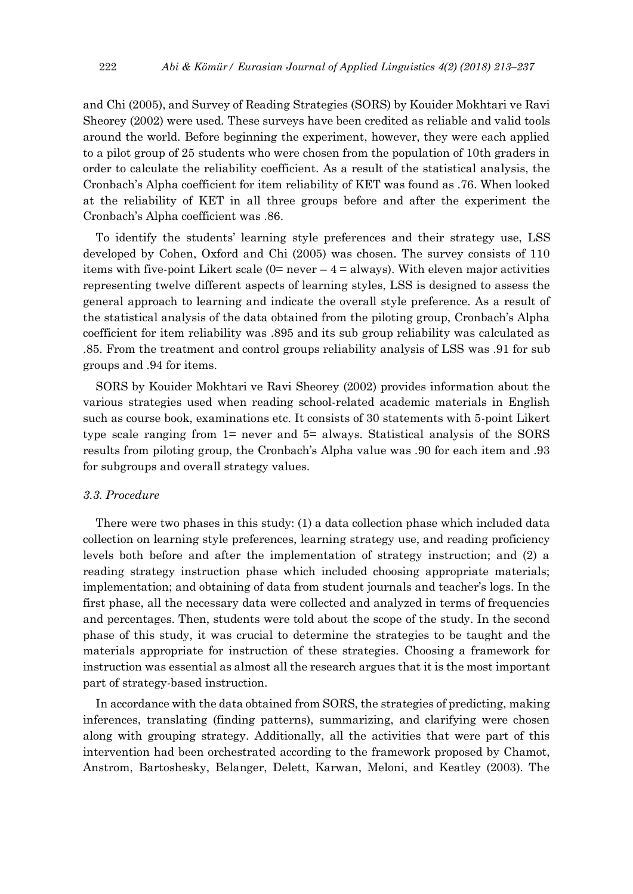and Chi (2005), and Survey of Reading Strategies (SORS) by Kouider Mokhtari ve Ravi Sheorey (2002) were used. These surveys have been credited as reliable and valid tools around the world. Before beginning the experiment, however, they were each applied to a pilot group of 25 students who were chosen from the population of 10th graders in order to calculate the reliability coefficient. As a result of the statistical analysis, the Cronbach's Alpha coefficient for item reliability of KET was found as .76. When looked at the reliability of KET in all three groups before and after the experiment the Cronbach's Alpha coefficient was .86.

To identify the students' learning style preferences and their strategy use, LSS developed by Cohen, Oxford and Chi (2005) was chosen. The survey consists of 110 items with five-point Likert scale  $(0=$  never  $-4=$  always). With eleven major activities representing twelve different aspects of learning styles, LSS is designed to assess the general approach to learning and indicate the overall style preference. As a result of the statistical analysis of the data obtained from the piloting group, Cronbach's Alpha coefficient for item reliability was .895 and its sub group reliability was calculated as .85. From the treatment and control groups reliability analysis of LSS was .91 for sub groups and .94 for items.

SORS by Kouider Mokhtari ve Ravi Sheorey (2002) provides information about the various strategies used when reading school-related academic materials in English such as course book, examinations etc. It consists of 30 statements with 5-point Likert type scale ranging from 1= never and 5= always. Statistical analysis of the SORS results from piloting group, the Cronbach's Alpha value was .90 for each item and .93 for subgroups and overall strategy values.

## *3.3. Procedure*

There were two phases in this study: (1) a data collection phase which included data collection on learning style preferences, learning strategy use, and reading proficiency levels both before and after the implementation of strategy instruction; and (2) a reading strategy instruction phase which included choosing appropriate materials; implementation; and obtaining of data from student journals and teacher's logs. In the first phase, all the necessary data were collected and analyzed in terms of frequencies and percentages. Then, students were told about the scope of the study. In the second phase of this study, it was crucial to determine the strategies to be taught and the materials appropriate for instruction of these strategies. Choosing a framework for instruction was essential as almost all the research argues that it is the most important part of strategy-based instruction.

In accordance with the data obtained from SORS, the strategies of predicting, making inferences, translating (finding patterns), summarizing, and clarifying were chosen along with grouping strategy. Additionally, all the activities that were part of this intervention had been orchestrated according to the framework proposed by Chamot, Anstrom, Bartoshesky, Belanger, Delett, Karwan, Meloni, and Keatley (2003). The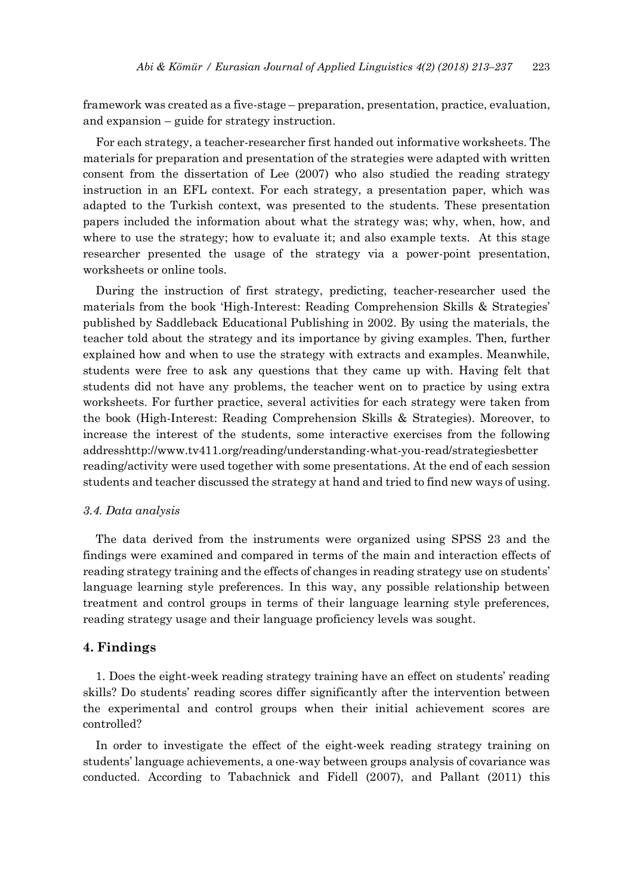framework was created as a five-stage – preparation, presentation, practice, evaluation, and expansion – guide for strategy instruction.

For each strategy, a teacher-researcher first handed out informative worksheets. The materials for preparation and presentation of the strategies were adapted with written consent from the dissertation of Lee (2007) who also studied the reading strategy instruction in an EFL context. For each strategy, a presentation paper, which was adapted to the Turkish context, was presented to the students. These presentation papers included the information about what the strategy was; why, when, how, and where to use the strategy; how to evaluate it; and also example texts. At this stage researcher presented the usage of the strategy via a power-point presentation, worksheets or online tools.

During the instruction of first strategy, predicting, teacher-researcher used the materials from the book 'High-Interest: Reading Comprehension Skills & Strategies' published by Saddleback Educational Publishing in 2002. By using the materials, the teacher told about the strategy and its importance by giving examples. Then, further explained how and when to use the strategy with extracts and examples. Meanwhile, students were free to ask any questions that they came up with. Having felt that students did not have any problems, the teacher went on to practice by using extra worksheets. For further practice, several activities for each strategy were taken from the book (High-Interest: Reading Comprehension Skills & Strategies). Moreover, to increase the interest of the students, some interactive exercises from the following addresshttp://www.tv411.org/reading/understanding-what-you-read/strategiesbetter reading/activity were used together with some presentations. At the end of each session students and teacher discussed the strategy at hand and tried to find new ways of using.

#### *3.4. Data analysis*

The data derived from the instruments were organized using SPSS 23 and the findings were examined and compared in terms of the main and interaction effects of reading strategy training and the effects of changes in reading strategy use on students' language learning style preferences. In this way, any possible relationship between treatment and control groups in terms of their language learning style preferences, reading strategy usage and their language proficiency levels was sought.

## **4. Findings**

1. Does the eight-week reading strategy training have an effect on students' reading skills? Do students' reading scores differ significantly after the intervention between the experimental and control groups when their initial achievement scores are controlled?

In order to investigate the effect of the eight-week reading strategy training on students' language achievements, a one-way between groups analysis of covariance was conducted. According to Tabachnick and Fidell (2007), and Pallant (2011) this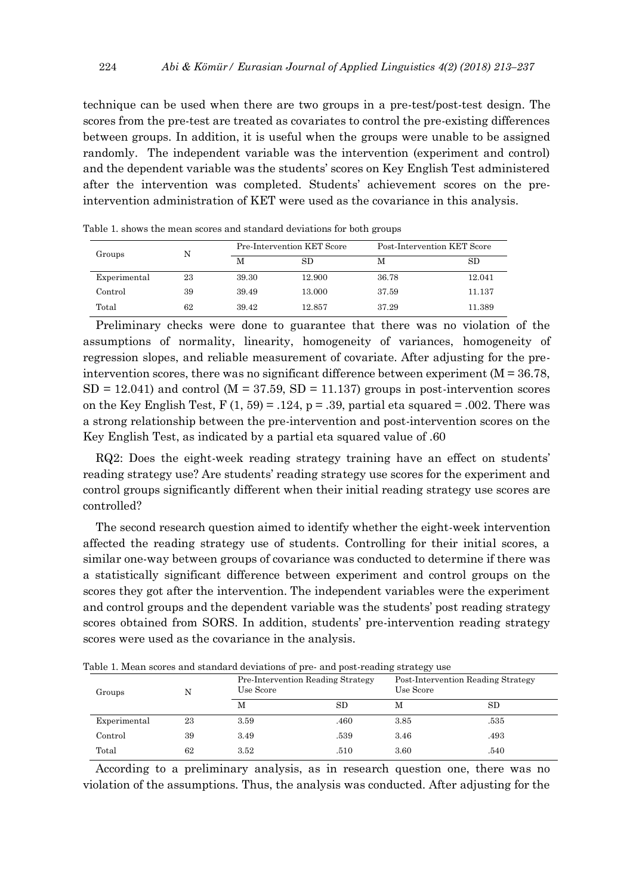technique can be used when there are two groups in a pre-test/post-test design. The scores from the pre-test are treated as covariates to control the pre-existing differences between groups. In addition, it is useful when the groups were unable to be assigned randomly. The independent variable was the intervention (experiment and control) and the dependent variable was the students' scores on Key English Test administered after the intervention was completed. Students' achievement scores on the preintervention administration of KET were used as the covariance in this analysis.

| Groups       |    |       | <b>Pre-Intervention KET Score</b> | Post-Intervention KET Score |             |  |  |  |  |
|--------------|----|-------|-----------------------------------|-----------------------------|-------------|--|--|--|--|
|              |    | M     | $_{\rm SD}$                       | M                           | $_{\rm SD}$ |  |  |  |  |
| Experimental | 23 | 39.30 | 12.900                            | 36.78                       | 12.041      |  |  |  |  |
| Control      | 39 | 39.49 | 13.000                            | 37.59                       | 11.137      |  |  |  |  |
| Total        | 62 | 39.42 | 12.857                            | 37.29                       | 11.389      |  |  |  |  |

Table 1. shows the mean scores and standard deviations for both groups

Preliminary checks were done to guarantee that there was no violation of the assumptions of normality, linearity, homogeneity of variances, homogeneity of regression slopes, and reliable measurement of covariate. After adjusting for the preintervention scores, there was no significant difference between experiment  $(M = 36.78)$ ,  $SD = 12.041$ ) and control (M = 37.59,  $SD = 11.137$ ) groups in post-intervention scores on the Key English Test,  $F(1, 59) = .124$ ,  $p = .39$ , partial eta squared = .002. There was a strong relationship between the pre-intervention and post-intervention scores on the Key English Test, as indicated by a partial eta squared value of .60

RQ2: Does the eight-week reading strategy training have an effect on students' reading strategy use? Are students' reading strategy use scores for the experiment and control groups significantly different when their initial reading strategy use scores are controlled?

The second research question aimed to identify whether the eight-week intervention affected the reading strategy use of students. Controlling for their initial scores, a similar one-way between groups of covariance was conducted to determine if there was a statistically significant difference between experiment and control groups on the scores they got after the intervention. The independent variables were the experiment and control groups and the dependent variable was the students' post reading strategy scores obtained from SORS. In addition, students' pre-intervention reading strategy scores were used as the covariance in the analysis.

| Groups       | N  | Use Score | Pre-Intervention Reading Strategy | Post-Intervention Reading Strategy<br>Use Score |           |  |  |  |  |
|--------------|----|-----------|-----------------------------------|-------------------------------------------------|-----------|--|--|--|--|
|              |    | М         | SD                                | М                                               | <b>SD</b> |  |  |  |  |
| Experimental | 23 | 3.59      | .460                              | 3.85                                            | .535      |  |  |  |  |
| Control      | 39 | 3.49      | .539                              | 3.46                                            | .493      |  |  |  |  |
| Total        | 62 | 3.52      | .510                              | 3.60                                            | .540      |  |  |  |  |

Table 1. Mean scores and standard deviations of pre- and post-reading strategy use

According to a preliminary analysis, as in research question one, there was no violation of the assumptions. Thus, the analysis was conducted. After adjusting for the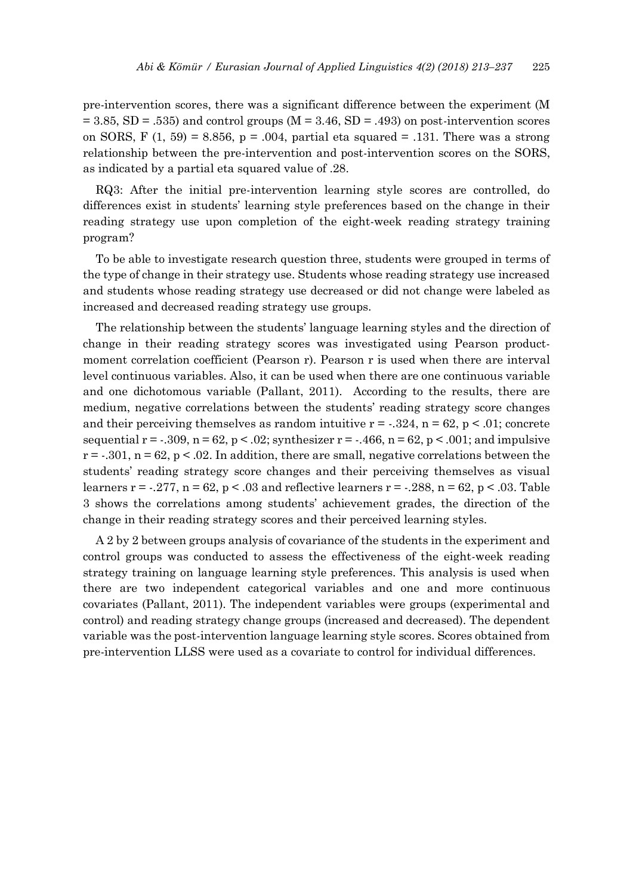pre-intervention scores, there was a significant difference between the experiment (M  $= 3.85$ , SD = .535) and control groups (M = 3.46, SD = .493) on post-intervention scores on SORS, F  $(1, 59) = 8.856$ , p = .004, partial eta squared = .131. There was a strong relationship between the pre-intervention and post-intervention scores on the SORS, as indicated by a partial eta squared value of .28.

RQ3: After the initial pre-intervention learning style scores are controlled, do differences exist in students' learning style preferences based on the change in their reading strategy use upon completion of the eight-week reading strategy training program?

To be able to investigate research question three, students were grouped in terms of the type of change in their strategy use. Students whose reading strategy use increased and students whose reading strategy use decreased or did not change were labeled as increased and decreased reading strategy use groups.

The relationship between the students' language learning styles and the direction of change in their reading strategy scores was investigated using Pearson productmoment correlation coefficient (Pearson r). Pearson r is used when there are interval level continuous variables. Also, it can be used when there are one continuous variable and one dichotomous variable (Pallant, 2011). According to the results, there are medium, negative correlations between the students' reading strategy score changes and their perceiving themselves as random intuitive  $r = -.324$ ,  $n = 62$ ,  $p < .01$ ; concrete sequential  $r = -0.309$ ,  $n = 62$ ,  $p < 0.02$ ; synthesizer  $r = -0.466$ ,  $n = 62$ ,  $p < 0.001$ ; and impulsive  $r = -0.301$ ,  $n = 62$ ,  $p < 0.02$ . In addition, there are small, negative correlations between the students' reading strategy score changes and their perceiving themselves as visual learners  $r = 0.277$ ,  $n = 62$ ,  $p < 0.03$  and reflective learners  $r = 0.288$ ,  $n = 62$ ,  $p < 0.03$ . Table 3 shows the correlations among students' achievement grades, the direction of the change in their reading strategy scores and their perceived learning styles.

A 2 by 2 between groups analysis of covariance of the students in the experiment and control groups was conducted to assess the effectiveness of the eight-week reading strategy training on language learning style preferences. This analysis is used when there are two independent categorical variables and one and more continuous covariates (Pallant, 2011). The independent variables were groups (experimental and control) and reading strategy change groups (increased and decreased). The dependent variable was the post-intervention language learning style scores. Scores obtained from pre-intervention LLSS were used as a covariate to control for individual differences.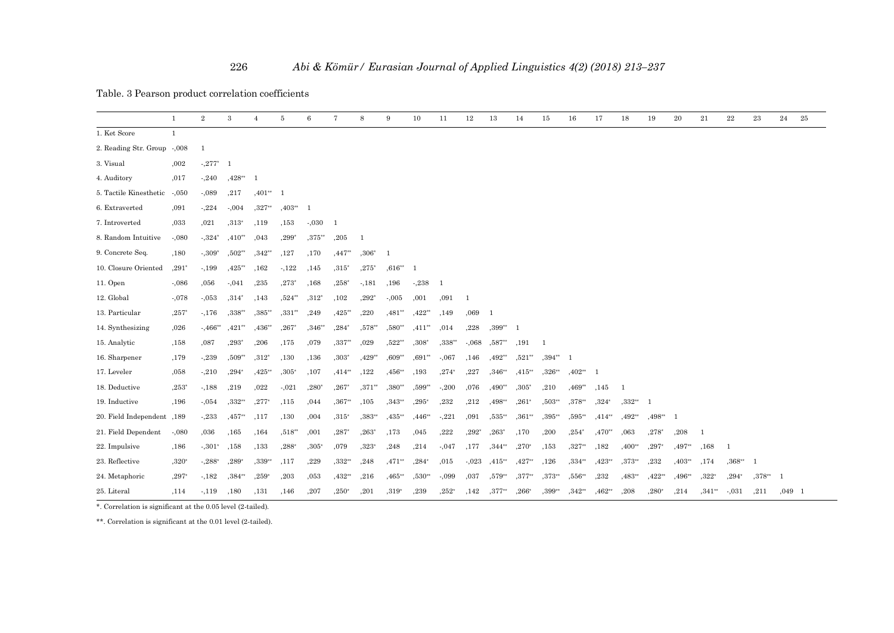Table. 3 Pearson product correlation coefficients

|                             | $\mathbf{1}$   | $\overline{2}$ | $\mathbf{3}$ | $\overline{4}$ | 5        | $6\phantom{1}6$ | $\overline{7}$ | 8        | 9        | 10        | 11           | $12\,$  | 13                | 14        | 15          | 16        | 17       | 18        | 19        | 20             | 21       | $\bf 22$ | 23             | 24             | 25 |
|-----------------------------|----------------|----------------|--------------|----------------|----------|-----------------|----------------|----------|----------|-----------|--------------|---------|-------------------|-----------|-------------|-----------|----------|-----------|-----------|----------------|----------|----------|----------------|----------------|----|
| 1. Ket Score                | $\overline{1}$ |                |              |                |          |                 |                |          |          |           |              |         |                   |           |             |           |          |           |           |                |          |          |                |                |    |
| 2. Reading Str. Group -,008 |                | 1              |              |                |          |                 |                |          |          |           |              |         |                   |           |             |           |          |           |           |                |          |          |                |                |    |
| 3. Visual                   | ,002           | $-.277*$       | - 1          |                |          |                 |                |          |          |           |              |         |                   |           |             |           |          |           |           |                |          |          |                |                |    |
| 4. Auditory                 | ,017           | $-240$         | $,428**$     | - 1            |          |                 |                |          |          |           |              |         |                   |           |             |           |          |           |           |                |          |          |                |                |    |
| 5. Tactile Kinesthetic      | $-0.50$        | $-.089$        | ,217         | $,401**$       |          |                 |                |          |          |           |              |         |                   |           |             |           |          |           |           |                |          |          |                |                |    |
| 6. Extraverted              | ,091           | $-224$         | $-0.004$     | $,327**$       | $,403**$ |                 |                |          |          |           |              |         |                   |           |             |           |          |           |           |                |          |          |                |                |    |
| 7. Introverted              | ,033           | ,021           | $,313*$      | ,119           | .153     | $-.030$         | - 1            |          |          |           |              |         |                   |           |             |           |          |           |           |                |          |          |                |                |    |
| 8. Random Intuitive         | $-.080$        | $-.324*$       | $,410**$     | ,043           | ,299*    | $,375$ **       | ,205           | -1       |          |           |              |         |                   |           |             |           |          |           |           |                |          |          |                |                |    |
| 9. Concrete Seq.            | ,180           | $-309*$        | $,502**$     | $,342**$       | ,127     | ,170            | $,447$ **      | $,306*$  | -1       |           |              |         |                   |           |             |           |          |           |           |                |          |          |                |                |    |
| 10. Closure Oriented        | $,291*$        | $-.199$        | $,425**$     | ,162           | $-122$   | ,145            | $,315*$        | $,275*$  | $,616**$ | -1        |              |         |                   |           |             |           |          |           |           |                |          |          |                |                |    |
| 11. Open                    | $-.086$        | ,056           | $-.041$      | ,235           | $,273*$  | ,168            | $,258*$        | $-181$   | ,196     | $-.238$   | $\mathbf{1}$ |         |                   |           |             |           |          |           |           |                |          |          |                |                |    |
| 12. Global                  | $-.078$        | $-.053$        | $,314*$      | ,143           | $,524**$ | $,312*$         | ,102           | $,292*$  | $-.005$  | ,001      | ,091         | -1      |                   |           |             |           |          |           |           |                |          |          |                |                |    |
| 13. Particular              | $,257*$        | $-.176$        | $,338**$     | $,385**$       | $,331**$ | ,249            | $,425**$       | ,220     | $,481**$ | $,422**$  | ,149         | ,069    | - 1               |           |             |           |          |           |           |                |          |          |                |                |    |
| 14. Synthesizing            | ,026           | $-.466**$      | $,421**$     | $,436**$       | $,267*$  | $,346**$        | $, 284*$       | $,578**$ | $,580**$ | $,411**$  | ,014         | ,228    | $,399**$          | - 1       |             |           |          |           |           |                |          |          |                |                |    |
| 15. Analytic                | ,158           | ,087           | $,293*$      | ,206           | ,175     | ,079            | ,337**         | ,029     | $,522**$ | $,308*$   | ,338**       | $-.068$ | $,587^{\ast\ast}$ | ,191      |             |           |          |           |           |                |          |          |                |                |    |
| 16. Sharpener               | ,179           | $-.239$        | $,509**$     | $,312^*$       | ,130     | ,136            | $,303*$        | $,429**$ | $,609**$ | $0.691**$ | $-.067$      | ,146    | $,492**$          | $,521**$  | $0.394**$ 1 |           |          |           |           |                |          |          |                |                |    |
| 17. Leveler                 | ,058           | $-.210$        | $,294*$      | $,425**$       | $,305*$  | ,107            | $,414**$       | ,122     | $,456**$ | ,193      | $,274*$      | ,227    | $,346**$          | $,415**$  | $0.326**$   | $,402**$  | -1       |           |           |                |          |          |                |                |    |
| 18. Deductive               | $,253*$        | $-188$         | ,219         | ,022           | $-.021$  | $,280*$         | $,267*$        | $,371**$ | ,380**   | ,599**    | $-200$       | ,076    | $,490**$          | $,305*$   | ,210        | $,469**$  | ,145     | -1        |           |                |          |          |                |                |    |
| 19. Inductive               | ,196           | $-.054$        | $,332**$     | $,277*$        | ,115     | ,044            | ,367**         | ,105     | $,343**$ | $,295*$   | ,232         | ,212    | ,498**            | $,261^*$  | $,503**$    | $,378**$  | $,324*$  | $,332**$  | -1        |                |          |          |                |                |    |
| 20. Field Independent, 189  |                | $-.233$        | $,457**$     | ,117           | ,130     | ,004            | $,315*$        | $,383**$ | $,435**$ | $,446**$  | $-221$       | .091    | $,535**$          | $,361**$  | ,395**      | $,595**$  | $,414**$ | $,492$ ** | $0.498**$ | $\overline{1}$ |          |          |                |                |    |
| 21. Field Dependent         | $-.080$        | ,036           | ,165         | ,164           | $,518**$ | ,001            | $,287*$        | $,263*$  | ,173     | ,045      | ,222         | $,292*$ | $,263*$           | ,170      | ,200        | $, 254*$  | $,470**$ | ,063      | $,278*$   | ,208           | -1       |          |                |                |    |
| 22. Impulsive               | ,186           | $-.301*$       | ,158         | ,133           | $,288*$  | ,305            | ,079           | ,323'    | ,248     | ,214      | $-0.047$     | ,177    | $,344**$          | $,270^*$  | ,153        | $,327**$  | ,182     | $,400**$  | $,297^*$  | $,497**$       | ,168     | -1       |                |                |    |
| 23. Reflective              | $,320^*$       | $-.288*$       | $,289*$      | $,339**$       | ,117     | ,229            | $,332**$       | ,248     | $,471**$ | $, 284*$  | ,015         | $-.023$ | $,415**$          | $,427**$  | ,126        | $,334**$  | $,423**$ | $,373*$   | ,232      | $,403**$       | ,174     | $,368**$ | $\overline{1}$ |                |    |
| 24. Metaphoric              | $,297*$        | $-182$         | $,384**$     | $,259*$        | ,203     | ,053            | $,432**$       | ,216     | $,465**$ | $,530**$  | $-.099$      | ,037    | $.579**$          | $0.377**$ | $0.373**$   | $0.556**$ | ,232     | $,483**$  | $,422**$  | $0.496**$      | $,322*$  | $, 294*$ | $0.378**$      | $\overline{1}$ |    |
| 25. Literal                 | ,114           | -,119          | ,180         | ,131           | ,146     | ,207            | $,250*$        | ,201     | $,319*$  | ,239      | $,252*$      | ,142    | $,377**$          | $,266^*$  | ,399**      | $,342**$  | $,462**$ | ,208      | $,280*$   | ,214           | $,341**$ | $-0.031$ | ,211           | $,049$ 1       |    |

\*. Correlation is significant at the 0.05 level (2-tailed).

\*\*. Correlation is significant at the 0.01 level (2-tailed).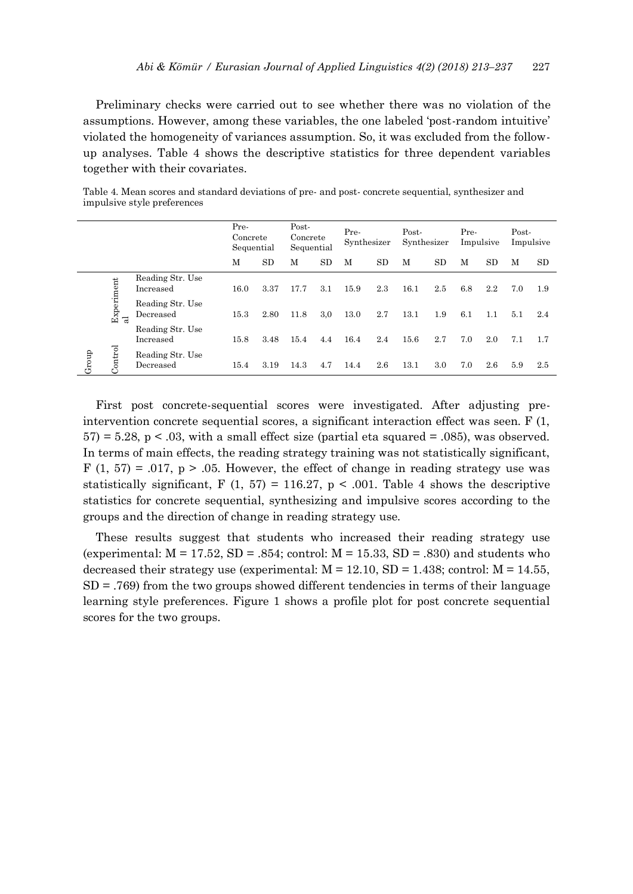Preliminary checks were carried out to see whether there was no violation of the assumptions. However, among these variables, the one labeled 'post-random intuitive' violated the homogeneity of variances assumption. So, it was excluded from the followup analyses. Table 4 shows the descriptive statistics for three dependent variables together with their covariates.

Table 4. Mean scores and standard deviations of pre- and post- concrete sequential, synthesizer and impulsive style preferences

|                                |   |                               | Pre-<br>Concrete<br>Sequential |      | Post-<br>Concrete<br>Sequential |     | Pre-<br>Synthesizer |           | Post-<br>Synthesizer |           | Pre- | Impulsive | Post-<br>Impulsive |           |  |
|--------------------------------|---|-------------------------------|--------------------------------|------|---------------------------------|-----|---------------------|-----------|----------------------|-----------|------|-----------|--------------------|-----------|--|
|                                |   |                               | M                              | SD   | M                               | SD  | M                   | <b>SD</b> | M                    | <b>SD</b> | M    | <b>SD</b> | M                  | <b>SD</b> |  |
| Experiment<br>Control<br>Group |   | Reading Str. Use<br>Increased | 16.0                           | 3.37 | 17.7                            | 3.1 | 15.9                | 2.3       | 16.1                 | 2.5       | 6.8  | 2.2       | 7.0                | 1.9       |  |
|                                | ನ | Reading Str. Use<br>Decreased | 15.3                           | 2.80 | 11.8                            | 3,0 | 13.0                | 2.7       | 13.1                 | 1.9       | 6.1  | 1.1       | 5.1                | 2.4       |  |
|                                |   | Reading Str. Use<br>Increased | 15.8                           | 3.48 | 15.4                            | 4.4 | 16.4                | 2.4       | 15.6                 | 2.7       | 7.0  | 2.0       | 7.1                | 1.7       |  |
|                                |   | Reading Str. Use<br>Decreased | 15.4                           | 3.19 | 14.3                            | 4.7 | 14.4                | 2.6       | 13.1                 | 3.0       | 7.0  | 2.6       | 5.9                | 2.5       |  |

First post concrete-sequential scores were investigated. After adjusting preintervention concrete sequential scores, a significant interaction effect was seen.  $F(1,$  $57$  = 5.28, p < .03, with a small effect size (partial eta squared = .085), was observed. In terms of main effects, the reading strategy training was not statistically significant, F (1, 57) = .017,  $p > .05$ . However, the effect of change in reading strategy use was statistically significant, F  $(1, 57) = 116.27$ , p < .001. Table 4 shows the descriptive statistics for concrete sequential, synthesizing and impulsive scores according to the groups and the direction of change in reading strategy use.

These results suggest that students who increased their reading strategy use (experimental:  $M = 17.52$ ,  $SD = .854$ ; control:  $M = 15.33$ ,  $SD = .830$ ) and students who decreased their strategy use (experimental:  $M = 12.10$ ,  $SD = 1.438$ ; control:  $M = 14.55$ ,  $SD = .769$  from the two groups showed different tendencies in terms of their language learning style preferences. Figure 1 shows a profile plot for post concrete sequential scores for the two groups.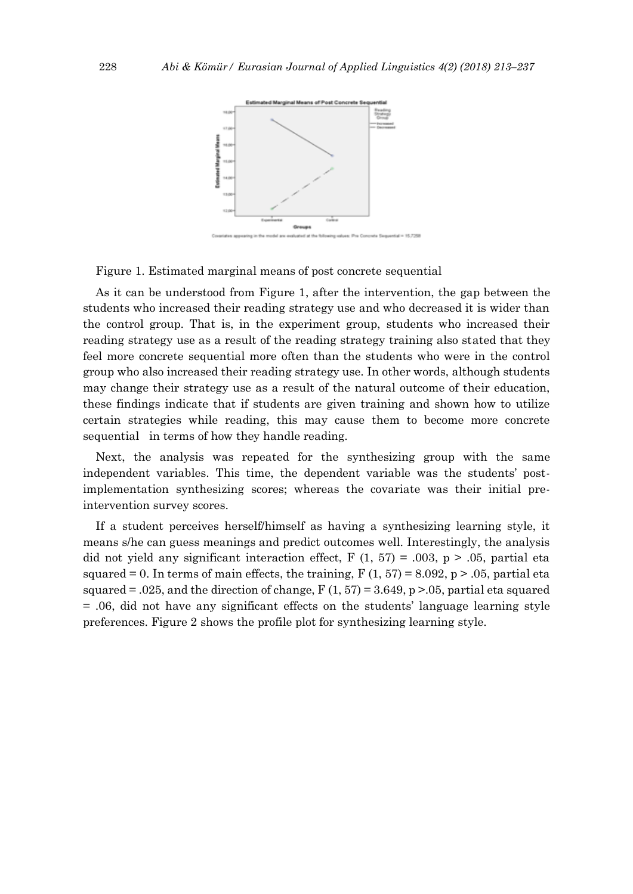

Figure 1. Estimated marginal means of post concrete sequential

As it can be understood from Figure 1, after the intervention, the gap between the students who increased their reading strategy use and who decreased it is wider than the control group. That is, in the experiment group, students who increased their reading strategy use as a result of the reading strategy training also stated that they feel more concrete sequential more often than the students who were in the control group who also increased their reading strategy use. In other words, although students may change their strategy use as a result of the natural outcome of their education, these findings indicate that if students are given training and shown how to utilize certain strategies while reading, this may cause them to become more concrete sequential in terms of how they handle reading.

Next, the analysis was repeated for the synthesizing group with the same independent variables. This time, the dependent variable was the students' postimplementation synthesizing scores; whereas the covariate was their initial preintervention survey scores.

If a student perceives herself/himself as having a synthesizing learning style, it means s/he can guess meanings and predict outcomes well. Interestingly, the analysis did not yield any significant interaction effect, F  $(1, 57) = .003$ , p  $> .05$ , partial eta squared = 0. In terms of main effects, the training,  $F(1, 57) = 8.092$ ,  $p > .05$ , partial eta squared  $= .025$ , and the direction of change, F (1, 57) = 3.649, p > 0.05, partial eta squared = .06, did not have any significant effects on the students' language learning style preferences. Figure 2 shows the profile plot for synthesizing learning style.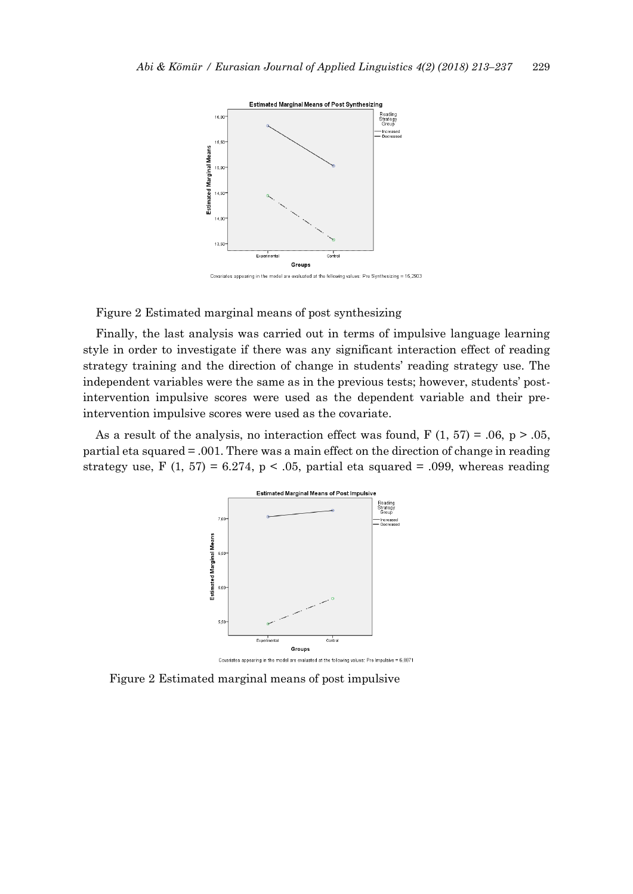

Covariates appearing in the model are evaluated at the following values: Pre Synthesizing = 15,2903

Figure 2 Estimated marginal means of post synthesizing

Finally, the last analysis was carried out in terms of impulsive language learning style in order to investigate if there was any significant interaction effect of reading strategy training and the direction of change in students' reading strategy use. The independent variables were the same as in the previous tests; however, students' postintervention impulsive scores were used as the dependent variable and their preintervention impulsive scores were used as the covariate.

As a result of the analysis, no interaction effect was found,  $F(1, 57) = .06$ ,  $p > .05$ , partial eta squared = .001. There was a main effect on the direction of change in reading strategy use, F  $(1, 57) = 6.274$ , p < .05, partial eta squared = .099, whereas reading



Figure 2 Estimated marginal means of post impulsive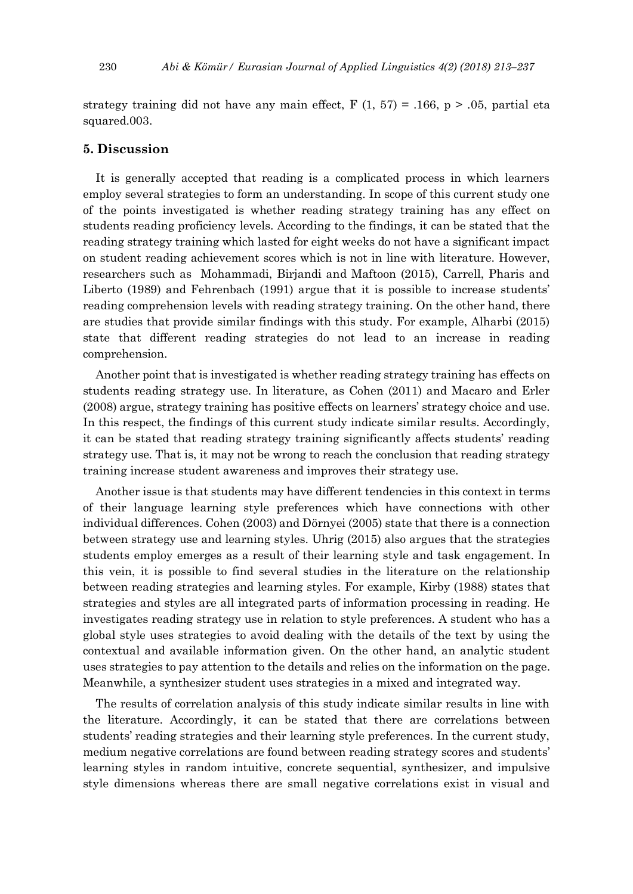strategy training did not have any main effect,  $F(1, 57) = .166$ ,  $p > .05$ , partial eta squared.003.

## **5. Discussion**

It is generally accepted that reading is a complicated process in which learners employ several strategies to form an understanding. In scope of this current study one of the points investigated is whether reading strategy training has any effect on students reading proficiency levels. According to the findings, it can be stated that the reading strategy training which lasted for eight weeks do not have a significant impact on student reading achievement scores which is not in line with literature. However, researchers such as Mohammadi, Birjandi and Maftoon (2015), Carrell, Pharis and Liberto (1989) and Fehrenbach (1991) argue that it is possible to increase students' reading comprehension levels with reading strategy training. On the other hand, there are studies that provide similar findings with this study. For example, Alharbi (2015) state that different reading strategies do not lead to an increase in reading comprehension.

Another point that is investigated is whether reading strategy training has effects on students reading strategy use. In literature, as Cohen (2011) and Macaro and Erler (2008) argue, strategy training has positive effects on learners' strategy choice and use. In this respect, the findings of this current study indicate similar results. Accordingly, it can be stated that reading strategy training significantly affects students' reading strategy use. That is, it may not be wrong to reach the conclusion that reading strategy training increase student awareness and improves their strategy use.

Another issue is that students may have different tendencies in this context in terms of their language learning style preferences which have connections with other individual differences. Cohen (2003) and Dörnyei (2005) state that there is a connection between strategy use and learning styles. Uhrig (2015) also argues that the strategies students employ emerges as a result of their learning style and task engagement. In this vein, it is possible to find several studies in the literature on the relationship between reading strategies and learning styles. For example, Kirby (1988) states that strategies and styles are all integrated parts of information processing in reading. He investigates reading strategy use in relation to style preferences. A student who has a global style uses strategies to avoid dealing with the details of the text by using the contextual and available information given. On the other hand, an analytic student uses strategies to pay attention to the details and relies on the information on the page. Meanwhile, a synthesizer student uses strategies in a mixed and integrated way.

The results of correlation analysis of this study indicate similar results in line with the literature. Accordingly, it can be stated that there are correlations between students' reading strategies and their learning style preferences. In the current study, medium negative correlations are found between reading strategy scores and students' learning styles in random intuitive, concrete sequential, synthesizer, and impulsive style dimensions whereas there are small negative correlations exist in visual and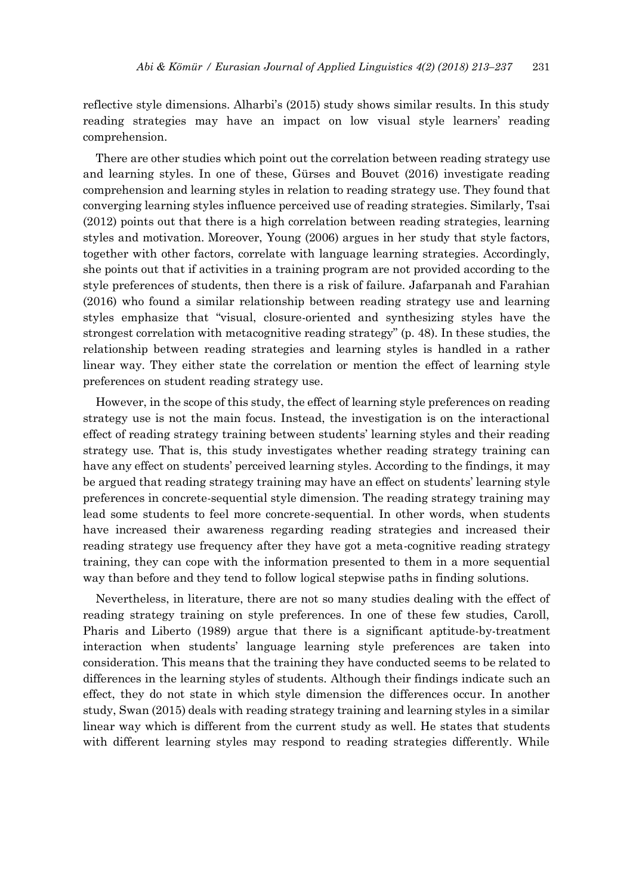reflective style dimensions. Alharbi's (2015) study shows similar results. In this study reading strategies may have an impact on low visual style learners' reading comprehension.

There are other studies which point out the correlation between reading strategy use and learning styles. In one of these, Gürses and Bouvet (2016) investigate reading comprehension and learning styles in relation to reading strategy use. They found that converging learning styles influence perceived use of reading strategies. Similarly, Tsai (2012) points out that there is a high correlation between reading strategies, learning styles and motivation. Moreover, Young (2006) argues in her study that style factors, together with other factors, correlate with language learning strategies. Accordingly, she points out that if activities in a training program are not provided according to the style preferences of students, then there is a risk of failure. Jafarpanah and Farahian (2016) who found a similar relationship between reading strategy use and learning styles emphasize that "visual, closure-oriented and synthesizing styles have the strongest correlation with metacognitive reading strategy" (p. 48). In these studies, the relationship between reading strategies and learning styles is handled in a rather linear way. They either state the correlation or mention the effect of learning style preferences on student reading strategy use.

However, in the scope of this study, the effect of learning style preferences on reading strategy use is not the main focus. Instead, the investigation is on the interactional effect of reading strategy training between students' learning styles and their reading strategy use. That is, this study investigates whether reading strategy training can have any effect on students' perceived learning styles. According to the findings, it may be argued that reading strategy training may have an effect on students' learning style preferences in concrete-sequential style dimension. The reading strategy training may lead some students to feel more concrete-sequential. In other words, when students have increased their awareness regarding reading strategies and increased their reading strategy use frequency after they have got a meta-cognitive reading strategy training, they can cope with the information presented to them in a more sequential way than before and they tend to follow logical stepwise paths in finding solutions.

Nevertheless, in literature, there are not so many studies dealing with the effect of reading strategy training on style preferences. In one of these few studies, Caroll, Pharis and Liberto (1989) argue that there is a significant aptitude-by-treatment interaction when students' language learning style preferences are taken into consideration. This means that the training they have conducted seems to be related to differences in the learning styles of students. Although their findings indicate such an effect, they do not state in which style dimension the differences occur. In another study, Swan (2015) deals with reading strategy training and learning styles in a similar linear way which is different from the current study as well. He states that students with different learning styles may respond to reading strategies differently. While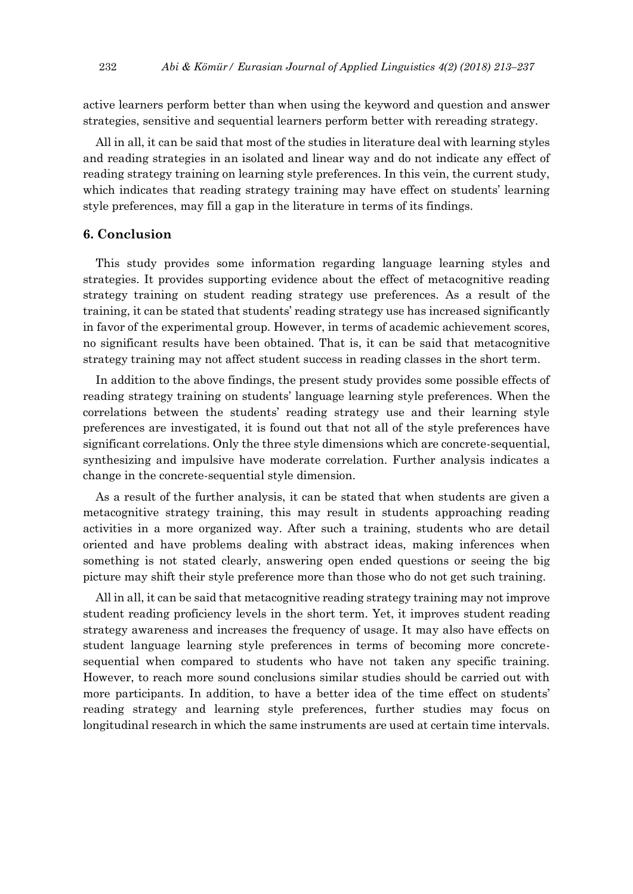active learners perform better than when using the keyword and question and answer strategies, sensitive and sequential learners perform better with rereading strategy.

All in all, it can be said that most of the studies in literature deal with learning styles and reading strategies in an isolated and linear way and do not indicate any effect of reading strategy training on learning style preferences. In this vein, the current study, which indicates that reading strategy training may have effect on students' learning style preferences, may fill a gap in the literature in terms of its findings.

## **6. Conclusion**

This study provides some information regarding language learning styles and strategies. It provides supporting evidence about the effect of metacognitive reading strategy training on student reading strategy use preferences. As a result of the training, it can be stated that students' reading strategy use has increased significantly in favor of the experimental group. However, in terms of academic achievement scores, no significant results have been obtained. That is, it can be said that metacognitive strategy training may not affect student success in reading classes in the short term.

In addition to the above findings, the present study provides some possible effects of reading strategy training on students' language learning style preferences. When the correlations between the students' reading strategy use and their learning style preferences are investigated, it is found out that not all of the style preferences have significant correlations. Only the three style dimensions which are concrete-sequential, synthesizing and impulsive have moderate correlation. Further analysis indicates a change in the concrete-sequential style dimension.

As a result of the further analysis, it can be stated that when students are given a metacognitive strategy training, this may result in students approaching reading activities in a more organized way. After such a training, students who are detail oriented and have problems dealing with abstract ideas, making inferences when something is not stated clearly, answering open ended questions or seeing the big picture may shift their style preference more than those who do not get such training.

All in all, it can be said that metacognitive reading strategy training may not improve student reading proficiency levels in the short term. Yet, it improves student reading strategy awareness and increases the frequency of usage. It may also have effects on student language learning style preferences in terms of becoming more concretesequential when compared to students who have not taken any specific training. However, to reach more sound conclusions similar studies should be carried out with more participants. In addition, to have a better idea of the time effect on students' reading strategy and learning style preferences, further studies may focus on longitudinal research in which the same instruments are used at certain time intervals.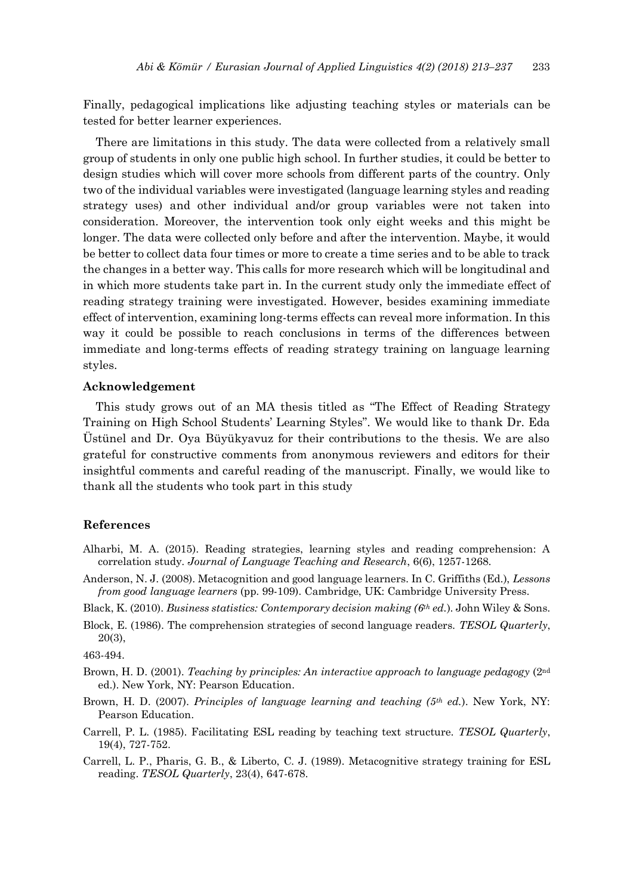Finally, pedagogical implications like adjusting teaching styles or materials can be tested for better learner experiences.

There are limitations in this study. The data were collected from a relatively small group of students in only one public high school. In further studies, it could be better to design studies which will cover more schools from different parts of the country. Only two of the individual variables were investigated (language learning styles and reading strategy uses) and other individual and/or group variables were not taken into consideration. Moreover, the intervention took only eight weeks and this might be longer. The data were collected only before and after the intervention. Maybe, it would be better to collect data four times or more to create a time series and to be able to track the changes in a better way. This calls for more research which will be longitudinal and in which more students take part in. In the current study only the immediate effect of reading strategy training were investigated. However, besides examining immediate effect of intervention, examining long-terms effects can reveal more information. In this way it could be possible to reach conclusions in terms of the differences between immediate and long-terms effects of reading strategy training on language learning styles.

### **Acknowledgement**

This study grows out of an MA thesis titled as "The Effect of Reading Strategy Training on High School Students' Learning Styles". We would like to thank Dr. Eda Üstünel and Dr. Oya Büyükyavuz for their contributions to the thesis. We are also grateful for constructive comments from anonymous reviewers and editors for their insightful comments and careful reading of the manuscript. Finally, we would like to thank all the students who took part in this study

## **References**

- Alharbi, M. A. (2015). Reading strategies, learning styles and reading comprehension: A correlation study. *Journal of Language Teaching and Research*, 6(6), 1257-1268.
- Anderson, N. J. (2008). Metacognition and good language learners. In C. Griffiths (Ed.), *Lessons from good language learners* (pp. 99-109). Cambridge, UK: Cambridge University Press.
- Black, K. (2010). *Business statistics: Contemporary decision making (6th ed.*). John Wiley & Sons.
- Block, E. (1986). The comprehension strategies of second language readers. *TESOL Quarterly*, 20(3),

463-494.

- Brown, H. D. (2001). *Teaching by principles: An interactive approach to language pedagogy* (2nd ed.). New York, NY: Pearson Education.
- Brown, H. D. (2007). *Principles of language learning and teaching (5th ed.*). New York, NY: Pearson Education.
- Carrell, P. L. (1985). Facilitating ESL reading by teaching text structure. *TESOL Quarterly*, 19(4), 727-752.
- Carrell, L. P., Pharis, G. B., & Liberto, C. J. (1989). Metacognitive strategy training for ESL reading. *TESOL Quarterly*, 23(4), 647-678.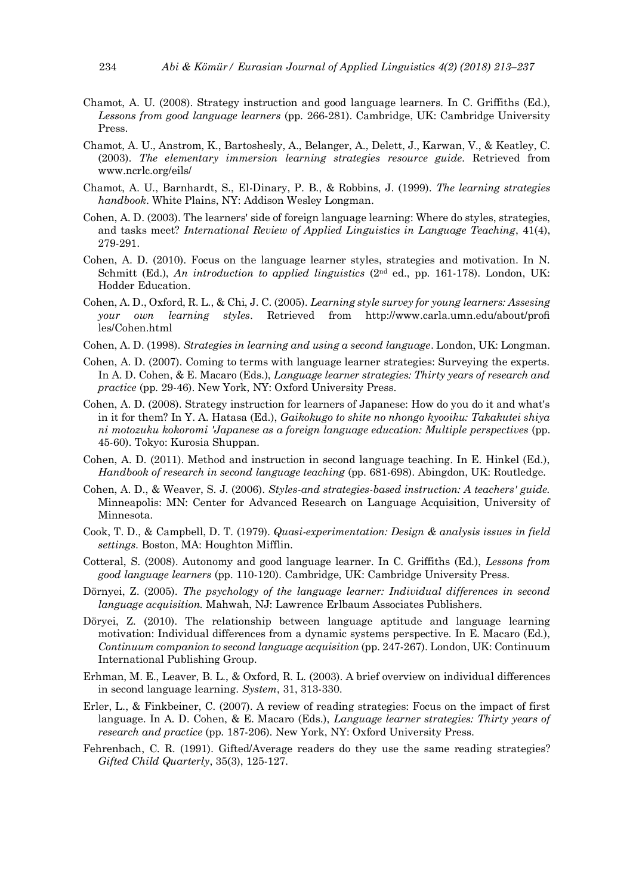- Chamot, A. U. (2008). Strategy instruction and good language learners. In C. Griffiths (Ed.), *Lessons from good language learners* (pp. 266-281). Cambridge, UK: Cambridge University Press.
- Chamot, A. U., Anstrom, K., Bartoshesly, A., Belanger, A., Delett, J., Karwan, V., & Keatley, C. (2003). *The elementary immersion learning strategies resource guide.* Retrieved from www.ncrlc.org/eils/
- Chamot, A. U., Barnhardt, S., El-Dinary, P. B., & Robbins, J. (1999). *The learning strategies handbook*. White Plains, NY: Addison Wesley Longman.
- Cohen, A. D. (2003). The learners' side of foreign language learning: Where do styles, strategies, and tasks meet? *International Review of Applied Linguistics in Language Teaching*, 41(4), 279-291.
- Cohen, A. D. (2010). Focus on the language learner styles, strategies and motivation. In N. Schmitt (Ed.), *An introduction to applied linguistics* (2nd ed., pp. 161-178). London, UK: Hodder Education.
- Cohen, A. D., Oxford, R. L., & Chi, J. C. (2005). *Learning style survey for young learners: Assesing your own learning styles*. Retrieved from http://www.carla.umn.edu/about/profi les/Cohen.html
- Cohen, A. D. (1998). *Strategies in learning and using a second language*. London, UK: Longman.
- Cohen, A. D. (2007). Coming to terms with language learner strategies: Surveying the experts. In A. D. Cohen, & E. Macaro (Eds.), *Language learner strategies: Thirty years of research and practice* (pp. 29-46). New York, NY: Oxford University Press.
- Cohen, A. D. (2008). Strategy instruction for learners of Japanese: How do you do it and what's in it for them? In Y. A. Hatasa (Ed.), *Gaikokugo to shite no nhongo kyooiku: Takakutei shiya ni motozuku kokoromi 'Japanese as a foreign language education: Multiple perspectives* (pp. 45-60). Tokyo: Kurosia Shuppan.
- Cohen, A. D. (2011). Method and instruction in second language teaching. In E. Hinkel (Ed.), *Handbook of research in second language teaching* (pp. 681-698). Abingdon, UK: Routledge.
- Cohen, A. D., & Weaver, S. J. (2006). *Styles-and strategies-based instruction: A teachers' guide.* Minneapolis: MN: Center for Advanced Research on Language Acquisition, University of Minnesota.
- Cook, T. D., & Campbell, D. T. (1979). *Quasi-experimentation: Design & analysis issues in field settings*. Boston, MA: Houghton Mifflin.
- Cotteral, S. (2008). Autonomy and good language learner. In C. Griffiths (Ed.), *Lessons from good language learners* (pp. 110-120). Cambridge, UK: Cambridge University Press.
- Dörnyei, Z. (2005). *The psychology of the language learner: Individual differences in second language acquisition.* Mahwah, NJ: Lawrence Erlbaum Associates Publishers.
- Döryei, Z. (2010). The relationship between language aptitude and language learning motivation: Individual differences from a dynamic systems perspective. In E. Macaro (Ed.), *Continuum companion to second language acquisition* (pp. 247-267). London, UK: Continuum International Publishing Group.
- Erhman, M. E., Leaver, B. L., & Oxford, R. L. (2003). A brief overview on individual differences in second language learning. *System*, 31, 313-330.
- Erler, L., & Finkbeiner, C. (2007). A review of reading strategies: Focus on the impact of first language. In A. D. Cohen, & E. Macaro (Eds.), *Language learner strategies: Thirty years of research and practice* (pp. 187-206). New York, NY: Oxford University Press.
- Fehrenbach, C. R. (1991). Gifted/Average readers do they use the same reading strategies? *Gifted Child Quarterly*, 35(3), 125-127.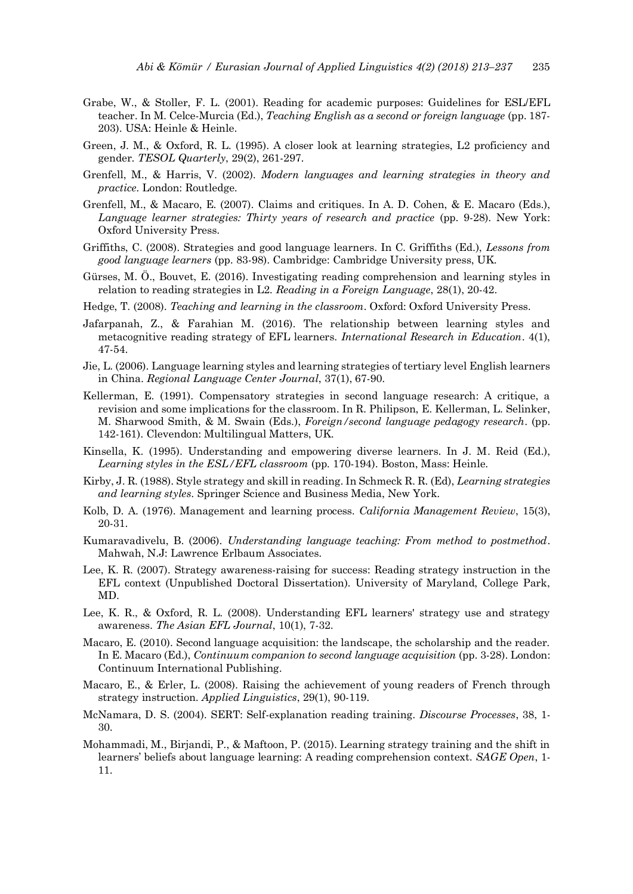- Grabe, W., & Stoller, F. L. (2001). Reading for academic purposes: Guidelines for ESL/EFL teacher. In M. Celce-Murcia (Ed.), *Teaching English as a second or foreign language* (pp. 187- 203). USA: Heinle & Heinle.
- Green, J. M., & Oxford, R. L. (1995). A closer look at learning strategies, L2 proficiency and gender. *TESOL Quarterly*, 29(2), 261-297.
- Grenfell, M., & Harris, V. (2002). *Modern languages and learning strategies in theory and practice.* London: Routledge.
- Grenfell, M., & Macaro, E. (2007). Claims and critiques. In A. D. Cohen, & E. Macaro (Eds.), *Language learner strategies: Thirty years of research and practice* (pp. 9-28). New York: Oxford University Press.
- Griffiths, C. (2008). Strategies and good language learners. In C. Griffiths (Ed.), *Lessons from good language learners* (pp. 83-98). Cambridge: Cambridge University press, UK.
- Gürses, M. Ö., Bouvet, E. (2016). Investigating reading comprehension and learning styles in relation to reading strategies in L2. *Reading in a Foreign Language*, 28(1), 20-42.
- Hedge, T. (2008). *Teaching and learning in the classroom*. Oxford: Oxford University Press.
- Jafarpanah, Z., & Farahian M. (2016). The relationship between learning styles and metacognitive reading strategy of EFL learners. *International Research in Education*. 4(1), 47-54.
- Jie, L. (2006). Language learning styles and learning strategies of tertiary level English learners in China. *Regional Language Center Journal*, 37(1), 67-90.
- Kellerman, E. (1991). Compensatory strategies in second language research: A critique, a revision and some implications for the classroom. In R. Philipson, E. Kellerman, L. Selinker, M. Sharwood Smith, & M. Swain (Eds.), *Foreign/second language pedagogy research*. (pp. 142-161). Clevendon: Multilingual Matters, UK.
- Kinsella, K. (1995). Understanding and empowering diverse learners. In J. M. Reid (Ed.), *Learning styles in the ESL/EFL classroom* (pp. 170-194). Boston, Mass: Heinle.
- Kirby, J. R. (1988). Style strategy and skill in reading. In Schmeck R. R. (Ed), *Learning strategies and learning styles*. Springer Science and Business Media, New York.
- Kolb, D. A. (1976). Management and learning process. *California Management Review*, 15(3), 20-31.
- Kumaravadivelu, B. (2006). *Understanding language teaching: From method to postmethod*. Mahwah, N.J: Lawrence Erlbaum Associates.
- Lee, K. R. (2007). Strategy awareness-raising for success: Reading strategy instruction in the EFL context (Unpublished Doctoral Dissertation). University of Maryland, College Park, MD.
- Lee, K. R., & Oxford, R. L. (2008). Understanding EFL learners' strategy use and strategy awareness. *The Asian EFL Journal*, 10(1), 7-32.
- Macaro, E. (2010). Second language acquisition: the landscape, the scholarship and the reader. In E. Macaro (Ed.), *Continuum companion to second language acquisition* (pp. 3-28). London: Continuum International Publishing.
- Macaro, E., & Erler, L. (2008). Raising the achievement of young readers of French through strategy instruction. *Applied Linguistics*, 29(1), 90-119.
- McNamara, D. S. (2004). SERT: Self-explanation reading training. *Discourse Processes*, 38, 1- 30.
- Mohammadi, M., Birjandi, P., & Maftoon, P. (2015). Learning strategy training and the shift in learners' beliefs about language learning: A reading comprehension context. *SAGE Open*, 1- 11.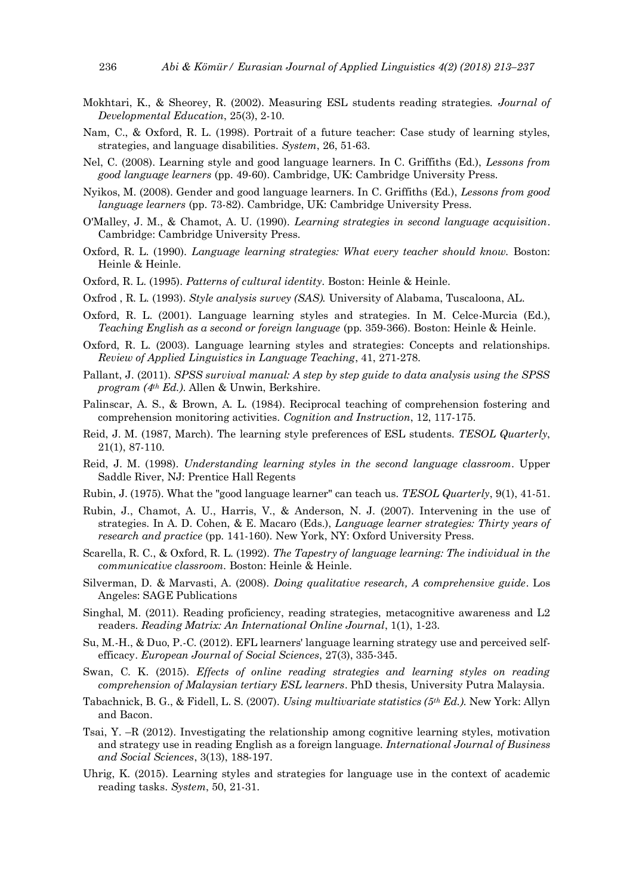- Mokhtari, K., & Sheorey, R. (2002). Measuring ESL students reading strategies. *Journal of Developmental Education*, 25(3), 2-10.
- Nam, C., & Oxford, R. L. (1998). Portrait of a future teacher: Case study of learning styles, strategies, and language disabilities. *System*, 26, 51-63.
- Nel, C. (2008). Learning style and good language learners. In C. Griffiths (Ed.), *Lessons from good language learners* (pp. 49-60). Cambridge, UK: Cambridge University Press.
- Nyikos, M. (2008). Gender and good language learners. In C. Griffiths (Ed.), *Lessons from good language learners* (pp. 73-82). Cambridge, UK: Cambridge University Press.
- O'Malley, J. M., & Chamot, A. U. (1990). *Learning strategies in second language acquisition*. Cambridge: Cambridge University Press.
- Oxford, R. L. (1990). *Language learning strategies: What every teacher should know.* Boston: Heinle & Heinle.
- Oxford, R. L. (1995). *Patterns of cultural identity*. Boston: Heinle & Heinle.
- Oxfrod , R. L. (1993). *Style analysis survey (SAS).* University of Alabama, Tuscaloona, AL.
- Oxford, R. L. (2001). Language learning styles and strategies. In M. Celce-Murcia (Ed.), *Teaching English as a second or foreign language* (pp. 359-366). Boston: Heinle & Heinle.
- Oxford, R. L. (2003). Language learning styles and strategies: Concepts and relationships. *Review of Applied Linguistics in Language Teaching*, 41, 271-278.
- Pallant, J. (2011). *SPSS survival manual: A step by step guide to data analysis using the SPSS program (4th Ed.)*. Allen & Unwin, Berkshire.
- Palinscar, A. S., & Brown, A. L. (1984). Reciprocal teaching of comprehension fostering and comprehension monitoring activities. *Cognition and Instruction*, 12, 117-175.
- Reid, J. M. (1987, March). The learning style preferences of ESL students. *TESOL Quarterly*, 21(1), 87-110.
- Reid, J. M. (1998). *Understanding learning styles in the second language classroom*. Upper Saddle River, NJ: Prentice Hall Regents
- Rubin, J. (1975). What the "good language learner" can teach us. *TESOL Quarterly*, 9(1), 41-51.
- Rubin, J., Chamot, A. U., Harris, V., & Anderson, N. J. (2007). Intervening in the use of strategies. In A. D. Cohen, & E. Macaro (Eds.), *Language learner strategies: Thirty years of research and practice* (pp. 141-160). New York, NY: Oxford University Press.
- Scarella, R. C., & Oxford, R. L. (1992). *The Tapestry of language learning: The individual in the communicative classroom.* Boston: Heinle & Heinle.
- Silverman, D. & Marvasti, A. (2008). *Doing qualitative research, A comprehensive guide*. Los Angeles: SAGE Publications
- Singhal, M. (2011). Reading proficiency, reading strategies, metacognitive awareness and L2 readers. *Reading Matrix: An International Online Journal*, 1(1), 1-23.
- Su, M.-H., & Duo, P.-C. (2012). EFL learners' language learning strategy use and perceived selfefficacy. *European Journal of Social Sciences*, 27(3), 335-345.
- Swan, C. K. (2015). *Effects of online reading strategies and learning styles on reading comprehension of Malaysian tertiary ESL learners*. PhD thesis, University Putra Malaysia.
- Tabachnick, B. G., & Fidell, L. S. (2007). *Using multivariate statistics (5th Ed.).* New York: Allyn and Bacon.
- Tsai, Y. –R (2012). Investigating the relationship among cognitive learning styles, motivation and strategy use in reading English as a foreign language. *International Journal of Business and Social Sciences*, 3(13), 188-197.
- Uhrig, K. (2015). Learning styles and strategies for language use in the context of academic reading tasks. *System*, 50, 21-31.